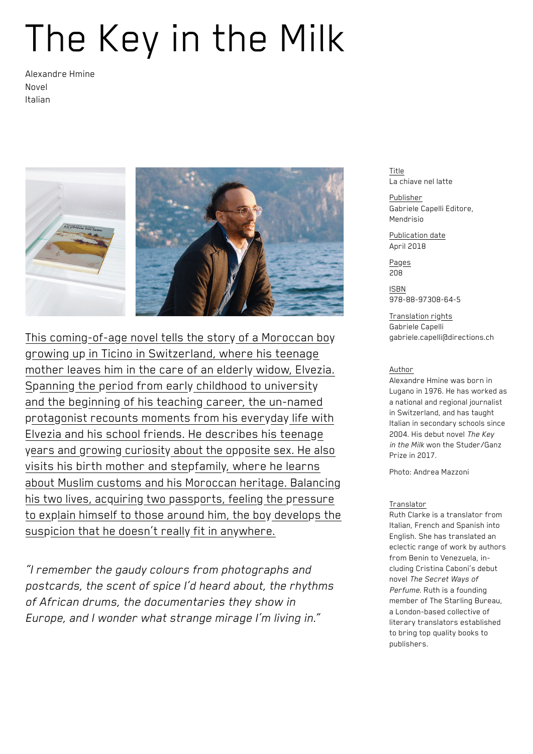## The Key in the Milk

Alexandre Hmine Novel Italian



This coming-of-age novel tells the story of a Moroccan boy growing up in Ticino in Switzerland, where his teenage mother leaves him in the care of an elderly widow, Elvezia. Spanning the period from early childhood to university and the beginning of his teaching career, the un-named protagonist recounts moments from his everyday life with Elvezia and his school friends. He describes his teenage years and growing curiosity about the opposite sex. He also visits his birth mother and stepfamily, where he learns about Muslim customs and his Moroccan heritage. Balancing his two lives, acquiring two passports, feeling the pressure to explain himself to those around him, the boy develops the suspicion that he doesn't really fit in anywhere.

*"I remember the gaudy colours from photographs and postcards, the scent of spice I'd heard about, the rhythms of African drums, the documentaries they show in Europe, and I wonder what strange mirage I'm living in."*

Title La chiave nel latte

Publisher Gabriele Capelli Editore, Mendrisio

Publication date April 2018

Pages 208

ISBN 978-88-97308-64-5

Translation rights Gabriele Capelli gabriele.capelli@directions.ch

## Author

Alexandre Hmine was born in Lugano in 1976. He has worked as a national and regional journalist in Switzerland, and has taught Italian in secondary schools since 2004. His debut novel *The Key in the Milk* won the Studer/Ganz Prize in 2017.

Photo: Andrea Mazzoni

## Translator

Ruth Clarke is a translator from Italian, French and Spanish into English. She has translated an eclectic range of work by authors from Benin to Venezuela, including Cristina Caboni's debut novel *The Secret Ways of Perfume*. Ruth is a founding member of The Starling Bureau, a London-based collective of literary translators established to bring top quality books to publishers.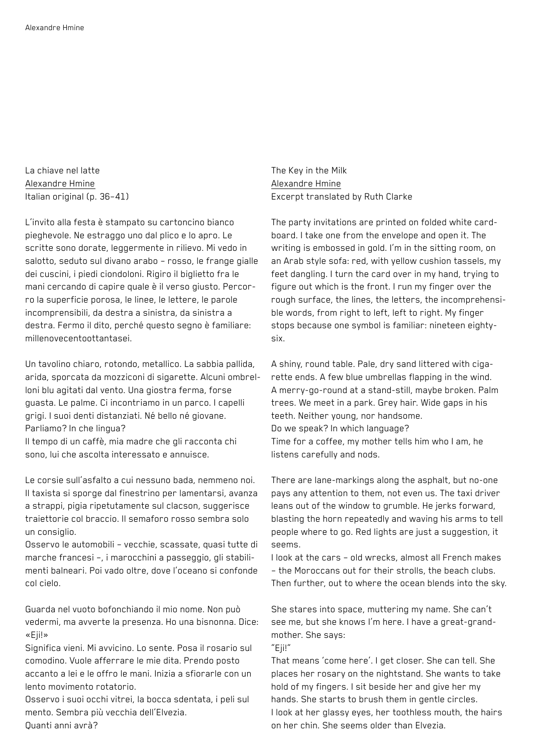La chiave nel latte Alexandre Hmine Italian original (p. 36–41)

L'invito alla festa è stampato su cartoncino bianco pieghevole. Ne estraggo uno dal plico e lo apro. Le scritte sono dorate, leggermente in rilievo. Mi vedo in salotto, seduto sul divano arabo – rosso, le frange gialle dei cuscini, i piedi ciondoloni. Rigiro il biglietto fra le mani cercando di capire quale è il verso giusto. Percorro la superficie porosa, le linee, le lettere, le parole incomprensibili, da destra a sinistra, da sinistra a destra. Fermo il dito, perché questo segno è familiare: millenovecentoottantasei.

Un tavolino chiaro, rotondo, metallico. La sabbia pallida, arida, sporcata da mozziconi di sigarette. Alcuni ombrelloni blu agitati dal vento. Una giostra ferma, forse guasta. Le palme. Ci incontriamo in un parco. I capelli grigi. I suoi denti distanziati. Né bello né giovane. Parliamo? In che lingua?

Il tempo di un caffè, mia madre che gli racconta chi sono, lui che ascolta interessato e annuisce.

Le corsie sull'asfalto a cui nessuno bada, nemmeno noi. Il taxista si sporge dal finestrino per lamentarsi, avanza a strappi, pigia ripetutamente sul clacson, suggerisce traiettorie col braccio. Il semaforo rosso sembra solo un consiglio.

Osservo le automobili – vecchie, scassate, quasi tutte di marche francesi –, i marocchini a passeggio, gli stabilimenti balneari. Poi vado oltre, dove l'oceano si confonde col cielo.

Guarda nel vuoto bofonchiando il mio nome. Non può vedermi, ma avverte la presenza. Ho una bisnonna. Dice: «Eji!»

Significa vieni. Mi avvicino. Lo sente. Posa il rosario sul comodino. Vuole afferrare le mie dita. Prendo posto accanto a lei e le offro le mani. Inizia a sfiorarle con un lento movimento rotatorio.

Osservo i suoi occhi vitrei, la bocca sdentata, i peli sul mento. Sembra più vecchia dell'Elvezia. Quanti anni avrà?

The Key in the Milk Alexandre Hmine Excerpt translated by Ruth Clarke

The party invitations are printed on folded white cardboard. I take one from the envelope and open it. The writing is embossed in gold. I'm in the sitting room, on an Arab style sofa: red, with yellow cushion tassels, my feet dangling. I turn the card over in my hand, trying to figure out which is the front. I run my finger over the rough surface, the lines, the letters, the incomprehensible words, from right to left, left to right. My finger stops because one symbol is familiar: nineteen eightysix.

A shiny, round table. Pale, dry sand littered with cigarette ends. A few blue umbrellas flapping in the wind. A merry-go-round at a stand-still, maybe broken. Palm trees. We meet in a park. Grey hair. Wide gaps in his teeth. Neither young, nor handsome. Do we speak? In which language? Time for a coffee, my mother tells him who I am, he listens carefully and nods.

There are lane-markings along the asphalt, but no-one pays any attention to them, not even us. The taxi driver leans out of the window to grumble. He jerks forward, blasting the horn repeatedly and waving his arms to tell people where to go. Red lights are just a suggestion, it seems.

I look at the cars – old wrecks, almost all French makes – the Moroccans out for their strolls, the beach clubs. Then further, out to where the ocean blends into the sky.

She stares into space, muttering my name. She can't see me, but she knows I'm here. I have a great-grandmother. She says:

"Eji!"

That means 'come here'. I get closer. She can tell. She places her rosary on the nightstand. She wants to take hold of my fingers. I sit beside her and give her my hands. She starts to brush them in gentle circles. I look at her glassy eyes, her toothless mouth, the hairs on her chin. She seems older than Elvezia.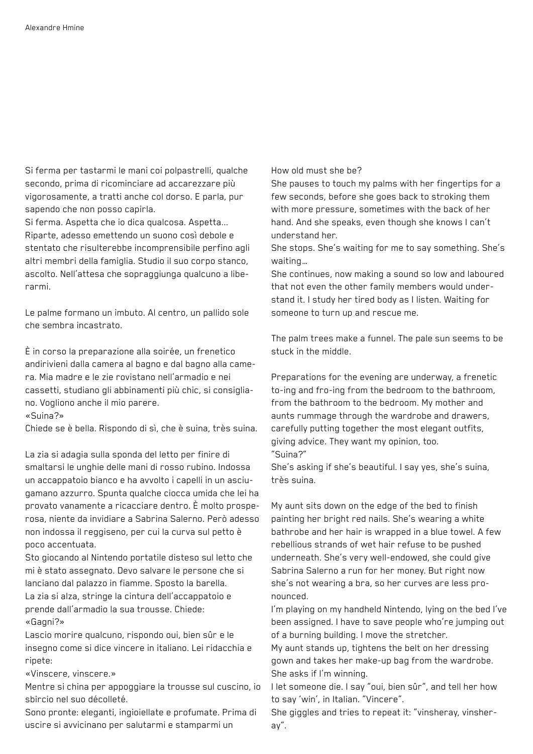Si ferma per tastarmi le mani coi polpastrelli, qualche secondo, prima di ricominciare ad accarezzare più vigorosamente, a tratti anche col dorso. E parla, pur sapendo che non posso capirla.

Si ferma. Aspetta che io dica qualcosa. Aspetta... Riparte, adesso emettendo un suono così debole e stentato che risulterebbe incomprensibile perfino agli altri membri della famiglia. Studio il suo corpo stanco, ascolto. Nell'attesa che sopraggiunga qualcuno a liberarmi.

Le palme formano un imbuto. Al centro, un pallido sole che sembra incastrato.

È in corso la preparazione alla soirée, un frenetico andirivieni dalla camera al bagno e dal bagno alla camera. Mia madre e le zie rovistano nell'armadio e nei cassetti, studiano gli abbinamenti più chic, si consigliano. Vogliono anche il mio parere.

«Suina?»

Chiede se è bella. Rispondo di sì, che è suina, très suina.

La zia si adagia sulla sponda del letto per finire di smaltarsi le unghie delle mani di rosso rubino. Indossa un accappatoio bianco e ha avvolto i capelli in un asciugamano azzurro. Spunta qualche ciocca umida che lei ha provato vanamente a ricacciare dentro. È molto prosperosa, niente da invidiare a Sabrina Salerno. Però adesso non indossa il reggiseno, per cui la curva sul petto è poco accentuata.

Sto giocando al Nintendo portatile disteso sul letto che mi è stato assegnato. Devo salvare le persone che si lanciano dal palazzo in fiamme. Sposto la barella. La zia si alza, stringe la cintura dell'accappatoio e prende dall'armadio la sua trousse. Chiede: «Gagni?»

Lascio morire qualcuno, rispondo oui, bien sûr e le insegno come si dice vincere in italiano. Lei ridacchia e ripete:

«Vinscere, vinscere.»

Mentre si china per appoggiare la trousse sul cuscino, io sbircio nel suo décolleté.

Sono pronte: eleganti, ingioiellate e profumate. Prima di uscire si avvicinano per salutarmi e stamparmi un

How old must she be?

She pauses to touch my palms with her fingertips for a few seconds, before she goes back to stroking them with more pressure, sometimes with the back of her hand. And she speaks, even though she knows I can't understand her.

She stops. She's waiting for me to say something. She's waiting…

She continues, now making a sound so low and laboured that not even the other family members would understand it. I study her tired body as I listen. Waiting for someone to turn up and rescue me.

The palm trees make a funnel. The pale sun seems to be stuck in the middle.

Preparations for the evening are underway, a frenetic to-ing and fro-ing from the bedroom to the bathroom, from the bathroom to the bedroom. My mother and aunts rummage through the wardrobe and drawers, carefully putting together the most elegant outfits, giving advice. They want my opinion, too. "Suina?"

She's asking if she's beautiful. I say yes, she's suina, très suina.

My aunt sits down on the edge of the bed to finish painting her bright red nails. She's wearing a white bathrobe and her hair is wrapped in a blue towel. A few rebellious strands of wet hair refuse to be pushed underneath. She's very well-endowed, she could give Sabrina Salerno a run for her money. But right now she's not wearing a bra, so her curves are less pronounced.

I'm playing on my handheld Nintendo, lying on the bed I've been assigned. I have to save people who're jumping out of a burning building. I move the stretcher.

My aunt stands up, tightens the belt on her dressing gown and takes her make-up bag from the wardrobe. She asks if I'm winning.

I let someone die. I say "oui, bien sûr", and tell her how to say 'win', in Italian. "Vincere".

She giggles and tries to repeat it: "vinsheray, vinsheray".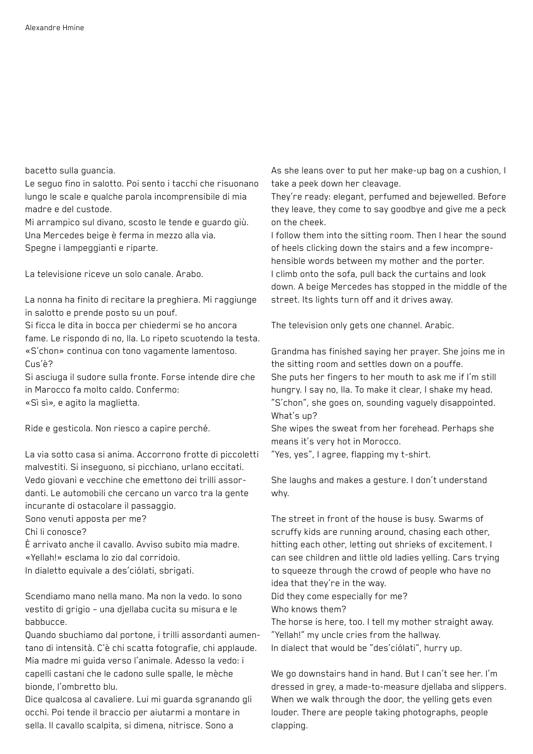bacetto sulla guancia.

Le seguo fino in salotto. Poi sento i tacchi che risuonano lungo le scale e qualche parola incomprensibile di mia madre e del custode.

Mi arrampico sul divano, scosto le tende e guardo giù. Una Mercedes beige è ferma in mezzo alla via. Spegne i lampeggianti e riparte.

La televisione riceve un solo canale. Arabo.

La nonna ha finito di recitare la preghiera. Mi raggiunge in salotto e prende posto su un pouf.

Si ficca le dita in bocca per chiedermi se ho ancora fame. Le rispondo di no, lla. Lo ripeto scuotendo la testa. «S'chon» continua con tono vagamente lamentoso. Cus'è?

Si asciuga il sudore sulla fronte. Forse intende dire che in Marocco fa molto caldo. Confermo: «Sì sì», e agito la maglietta.

Ride e gesticola. Non riesco a capire perché.

La via sotto casa si anima. Accorrono frotte di piccoletti malvestiti. Si inseguono, si picchiano, urlano eccitati. Vedo giovani e vecchine che emettono dei trilli assordanti. Le automobili che cercano un varco tra la gente incurante di ostacolare il passaggio.

Sono venuti apposta per me?

Chi li conosce?

È arrivato anche il cavallo. Avviso subito mia madre. «Yellah!» esclama lo zio dal corridoio.

In dialetto equivale a des'ciólati, sbrigati.

Scendiamo mano nella mano. Ma non la vedo. Io sono vestito di grigio – una djellaba cucita su misura e le babbucce.

Quando sbuchiamo dal portone, i trilli assordanti aumentano di intensità. C'è chi scatta fotografie, chi applaude. Mia madre mi guida verso l'animale. Adesso la vedo: i capelli castani che le cadono sulle spalle, le mèche bionde, l'ombretto blu.

Dice qualcosa al cavaliere. Lui mi guarda sgranando gli occhi. Poi tende il braccio per aiutarmi a montare in sella. Il cavallo scalpita, si dimena, nitrisce. Sono a

As she leans over to put her make-up bag on a cushion, I take a peek down her cleavage.

They're ready: elegant, perfumed and bejewelled. Before they leave, they come to say goodbye and give me a peck on the cheek.

I follow them into the sitting room. Then I hear the sound of heels clicking down the stairs and a few incomprehensible words between my mother and the porter. I climb onto the sofa, pull back the curtains and look down. A beige Mercedes has stopped in the middle of the street. Its lights turn off and it drives away.

The television only gets one channel. Arabic.

Grandma has finished saying her prayer. She joins me in the sitting room and settles down on a pouffe. She puts her fingers to her mouth to ask me if I'm still hungry. I say no, lla. To make it clear, I shake my head.

"S'chon", she goes on, sounding vaguely disappointed. What's up?

She wipes the sweat from her forehead. Perhaps she means it's very hot in Morocco.

"Yes, yes", I agree, flapping my t-shirt.

She laughs and makes a gesture. I don't understand why.

The street in front of the house is busy. Swarms of scruffy kids are running around, chasing each other, hitting each other, letting out shrieks of excitement. I can see children and little old ladies yelling. Cars trying to squeeze through the crowd of people who have no idea that they're in the way.

Did they come especially for me?

Who knows them?

The horse is here, too. I tell my mother straight away. "Yellah!" my uncle cries from the hallway.

In dialect that would be "des'ciólati", hurry up.

We go downstairs hand in hand. But I can't see her. I'm dressed in grey, a made-to-measure djellaba and slippers. When we walk through the door, the yelling gets even louder. There are people taking photographs, people clapping.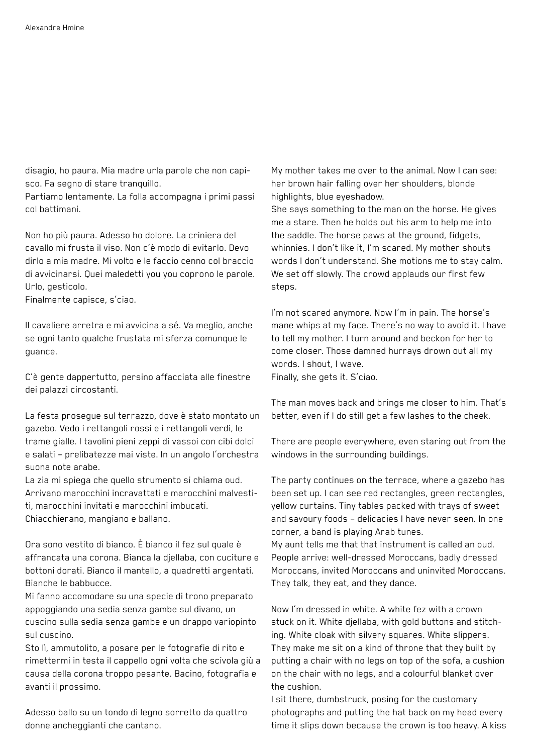disagio, ho paura. Mia madre urla parole che non capisco. Fa segno di stare tranquillo.

Partiamo lentamente. La folla accompagna i primi passi col battimani.

Non ho più paura. Adesso ho dolore. La criniera del cavallo mi frusta il viso. Non c'è modo di evitarlo. Devo dirlo a mia madre. Mi volto e le faccio cenno col braccio di avvicinarsi. Quei maledetti you you coprono le parole. Urlo, gesticolo.

Finalmente capisce, s'ciao.

Il cavaliere arretra e mi avvicina a sé. Va meglio, anche se ogni tanto qualche frustata mi sferza comunque le guance.

C'è gente dappertutto, persino affacciata alle finestre dei palazzi circostanti.

La festa prosegue sul terrazzo, dove è stato montato un gazebo. Vedo i rettangoli rossi e i rettangoli verdi, le trame gialle. I tavolini pieni zeppi di vassoi con cibi dolci e salati – prelibatezze mai viste. In un angolo l'orchestra suona note arabe.

La zia mi spiega che quello strumento si chiama oud. Arrivano marocchini incravattati e marocchini malvestiti, marocchini invitati e marocchini imbucati. Chiacchierano, mangiano e ballano.

Ora sono vestito di bianco. È bianco il fez sul quale è affrancata una corona. Bianca la djellaba, con cuciture e bottoni dorati. Bianco il mantello, a quadretti argentati. Bianche le babbucce.

Mi fanno accomodare su una specie di trono preparato appoggiando una sedia senza gambe sul divano, un cuscino sulla sedia senza gambe e un drappo variopinto sul cuscino.

Sto lì, ammutolito, a posare per le fotografie di rito e rimettermi in testa il cappello ogni volta che scivola giù a causa della corona troppo pesante. Bacino, fotografia e avanti il prossimo.

Adesso ballo su un tondo di legno sorretto da quattro donne ancheggianti che cantano.

My mother takes me over to the animal. Now I can see: her brown hair falling over her shoulders, blonde highlights, blue eyeshadow.

She says something to the man on the horse. He gives me a stare. Then he holds out his arm to help me into the saddle. The horse paws at the ground, fidgets, whinnies. I don't like it, I'm scared. My mother shouts words I don't understand. She motions me to stay calm. We set off slowly. The crowd applauds our first few steps.

I'm not scared anymore. Now I'm in pain. The horse's mane whips at my face. There's no way to avoid it. I have to tell my mother. I turn around and beckon for her to come closer. Those damned hurrays drown out all my words. I shout, I wave. Finally, she gets it. S'ciao.

The man moves back and brings me closer to him. That's better, even if I do still get a few lashes to the cheek.

There are people everywhere, even staring out from the windows in the surrounding buildings.

The party continues on the terrace, where a gazebo has been set up. I can see red rectangles, green rectangles, yellow curtains. Tiny tables packed with trays of sweet and savoury foods – delicacies I have never seen. In one corner, a band is playing Arab tunes. My aunt tells me that that instrument is called an oud. People arrive: well-dressed Moroccans, badly dressed Moroccans, invited Moroccans and uninvited Moroccans. They talk, they eat, and they dance.

Now I'm dressed in white. A white fez with a crown stuck on it. White djellaba, with gold buttons and stitching. White cloak with silvery squares. White slippers. They make me sit on a kind of throne that they built by putting a chair with no legs on top of the sofa, a cushion on the chair with no legs, and a colourful blanket over the cushion.

I sit there, dumbstruck, posing for the customary photographs and putting the hat back on my head every time it slips down because the crown is too heavy. A kiss